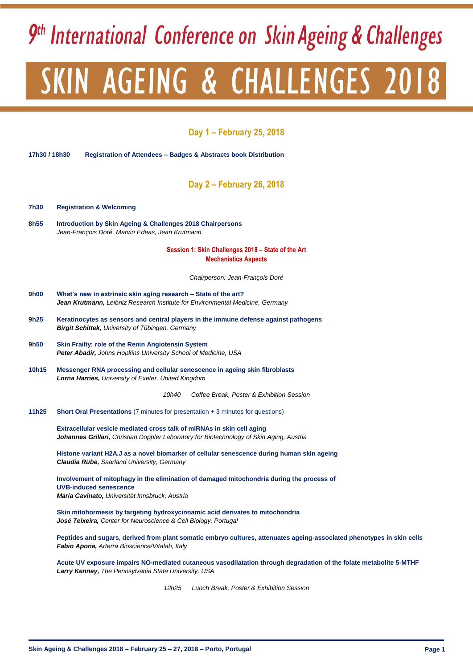## 9<sup>th</sup> International Conference on Skin Ageing & Challenges SKIN AGEING & CHALLENGES 2018

### **Day 1 – February 25, 2018**

**17h30 / 18h30 Registration of Attendees – Badges & Abstracts book Distribution**

**Day 2 – February 26, 2018**

| <b>7h30</b> | <b>Registration &amp; Welcoming</b>                                                                                                                                          |
|-------------|------------------------------------------------------------------------------------------------------------------------------------------------------------------------------|
| 8h55        | Introduction by Skin Ageing & Challenges 2018 Chairpersons<br>Jean-François Doré, Marvin Edeas, Jean Krutmann                                                                |
|             | Session 1: Skin Challenges 2018 - State of the Art<br><b>Mechanistics Aspects</b>                                                                                            |
|             | Chairperson: Jean-François Doré                                                                                                                                              |
| 9h00        | What's new in extrinsic skin aging research – State of the art?<br><b>Jean Krutmann,</b> Leibniz Research Institute for Environmental Medicine, Germany                      |
| 9h25        | Keratinocytes as sensors and central players in the immune defense against pathogens<br><b>Birgit Schittek, University of Tübingen, Germany</b>                              |
| 9h50        | Skin Frailty: role of the Renin Angiotensin System<br><b>Peter Abadir, Johns Hopkins University School of Medicine, USA</b>                                                  |
| 10h15       | Messenger RNA processing and cellular senescence in ageing skin fibroblasts<br><b>Lorna Harries, University of Exeter, United Kingdom</b>                                    |
|             | 10h40<br>Coffee Break, Poster & Exhibition Session                                                                                                                           |
| 11h25       | <b>Short Oral Presentations</b> (7 minutes for presentation + 3 minutes for questions)                                                                                       |
|             | Extracellular vesicle mediated cross talk of miRNAs in skin cell aging<br><b>Johannes Grillari,</b> Christian Doppler Laboratory for Biotechnology of Skin Aging, Austria    |
|             | Histone variant H2A.J as a novel biomarker of cellular senescence during human skin ageing<br>Claudia Rübe, Saarland University, Germany                                     |
|             | Involvement of mitophagy in the elimination of damaged mitochondria during the process of<br><b>UVB-induced senescence</b><br>Maria Cavinato, Universität Innsbruck, Austria |
|             | Skin mitohormesis by targeting hydroxycinnamic acid derivates to mitochondria<br>José Teixeira, Center for Neuroscience & Cell Biology, Portugal                             |
|             | Peptides and sugars, derived from plant somatic embryo cultures, attenuates ageing-associated phenotypes in skin cells<br>Fabio Apone, Arterra Bioscience/Vitalab, Italy     |
|             | Acute UV exposure impairs NO-mediated cutaneous vasodilatation through degradation of the folate metabolite 5-MTHF<br>Larry Kenney, The Pennsylvania State University, USA   |
|             |                                                                                                                                                                              |

*12h25 Lunch Break, Poster & Exhibition Session*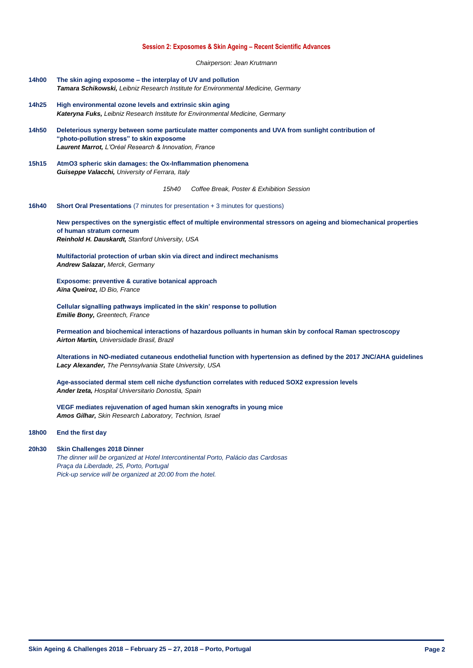### **Session 2: Exposomes & Skin Ageing – Recent Scientific Advances**

*Chairperson: Jean Krutmann*

- **14h00 The skin aging exposome – the interplay of UV and pollution** *Tamara Schikowski, Leibniz Research Institute for Environmental Medicine, Germany*
- **14h25 High environmental ozone levels and extrinsic skin aging** *Kateryna Fuks, Leibniz Research Institute for Environmental Medicine, Germany*
- **14h50 Deleterious synergy between some particulate matter components and UVA from sunlight contribution of "photo-pollution stress" to skin exposome** *Laurent Marrot, L'Oréal Research & Innovation, France*
- **15h15 AtmO3 spheric skin damages: the Ox-Inflammation phenomena** *Guiseppe Valacchi, University of Ferrara, Italy*

*15h40 Coffee Break, Poster & Exhibition Session*

**16h40 Short Oral Presentations** (7 minutes for presentation + 3 minutes for questions)

**New perspectives on the synergistic effect of multiple environmental stressors on ageing and biomechanical properties of human stratum corneum** *Reinhold H. Dauskardt, Stanford University, USA*

**Multifactorial protection of urban skin via direct and indirect mechanisms** *Andrew Salazar, Merck, Germany*

**Exposome: preventive & curative botanical approach** *Aïna Queiroz, ID Bio, France*

**Cellular signalling pathways implicated in the skin' response to pollution** *Emilie Bony, Greentech, France*

**Permeation and biochemical interactions of hazardous polluants in human skin by confocal Raman spectroscopy** *Airton Martin, Universidade Brasil, Brazil*

**Alterations in NO-mediated cutaneous endothelial function with hypertension as defined by the 2017 JNC/AHA guidelines** *Lacy Alexander, The Pennsylvania State University, USA*

**Age-associated dermal stem cell niche dysfunction correlates with reduced SOX2 expression levels** *Ander Izeta, Hospital Universitario Donostia, Spain*

**VEGF mediates rejuvenation of aged human skin xenografts in young mice**  *Amos Gilhar, Skin Research Laboratory, Technion, Israel*

### **18h00 End the first day**

#### **20h30 Skin Challenges 2018 Dinner**

*The dinner will be organized at Hotel Intercontinental Porto, Palácio das Cardosas Praça da Liberdade, 25, Porto, Portugal Pick-up service will be organized at 20:00 from the hotel.*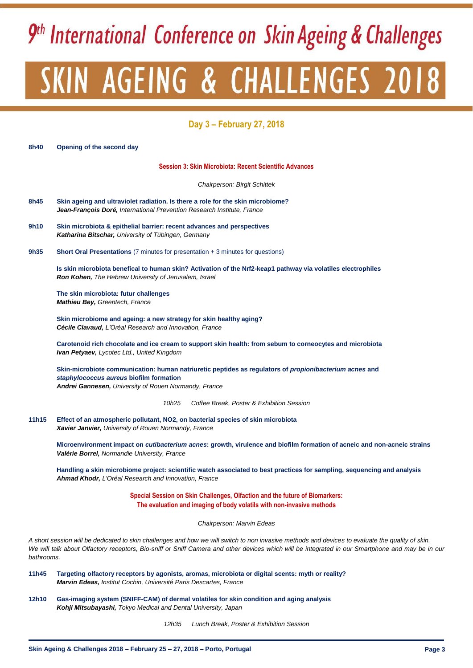# 9<sup>th</sup> International Conference on Skin Ageing & Challenges SKIN AGEING & CHALLENGES 2018

## **Day 3 – February 27, 2018**

**8h40 Opening of the second day**

**Session 3: Skin Microbiota: Recent Scientific Advances**

*Chairperson: Birgit Schittek*

- **8h45 Skin ageing and ultraviolet radiation. Is there a role for the skin microbiome?** *Jean-François Doré, International Prevention Research Institute, France*
- **9h10 Skin microbiota & epithelial barrier: recent advances and perspectives** *Katharina Bitschar, University of Tübingen, Germany*
- **9h35 Short Oral Presentations** (7 minutes for presentation + 3 minutes for questions)

**Is skin microbiota benefical to human skin? Activation of the Nrf2-keap1 pathway via volatiles electrophiles** *Ron Kohen, The Hebrew University of Jerusalem, Israel*

**The skin microbiota: futur challenges** *Mathieu Bey, Greentech, France*

**Skin microbiome and ageing: a new strategy for skin healthy aging?** *Cécile Clavaud, L'Oréal Research and Innovation, France*

**Carotenoid rich chocolate and ice cream to support skin health: from sebum to corneocytes and microbiota**  *Ivan Petyaev, Lycotec Ltd., United Kingdom*

**Skin-microbiote communication: human natriuretic peptides as regulators of** *propionibacterium acnes* **and**  *staphylococcus aureus* **biofilm formation** *Andrei Gannesen, University of Rouen Normandy, France*

*10h25 Coffee Break, Poster & Exhibition Session*

**11h15 Effect of an atmospheric pollutant, NO2, on bacterial species of skin microbiota** *Xavier Janvier, University of Rouen Normandy, France*

> **Microenvironment impact on** *cutibacterium acnes***: growth, virulence and biofilm formation of acneic and non-acneic strains** *Valérie Borrel, Normandie University, France*

**Handling a skin microbiome project: scientific watch associated to best practices for sampling, sequencing and analysis** *Ahmad Khodr, L'Oréal Research and Innovation, France*

> **Special Session on Skin Challenges, Olfaction and the future of Biomarkers: The evaluation and imaging of body volatils with non-invasive methods**

> > *Chairperson: Marvin Edeas*

*A short session will be dedicated to skin challenges and how we will switch to non invasive methods and devices to evaluate the quality of skin.*  We will talk about Olfactory receptors, Bio-sniff or Sniff Camera and other devices which will be integrated in our Smartphone and may be in our *bathrooms.*

**11h45 Targeting olfactory receptors by agonists, aromas, microbiota or digital scents: myth or reality?** *Marvin Edeas, Institut Cochin, Université Paris Descartes, France*

**12h10 Gas-imaging system (SNIFF-CAM) of dermal volatiles for skin condition and aging analysis**  *Kohji Mitsubayashi, Tokyo Medical and Dental University, Japan*

*12h35 Lunch Break, Poster & Exhibition Session*